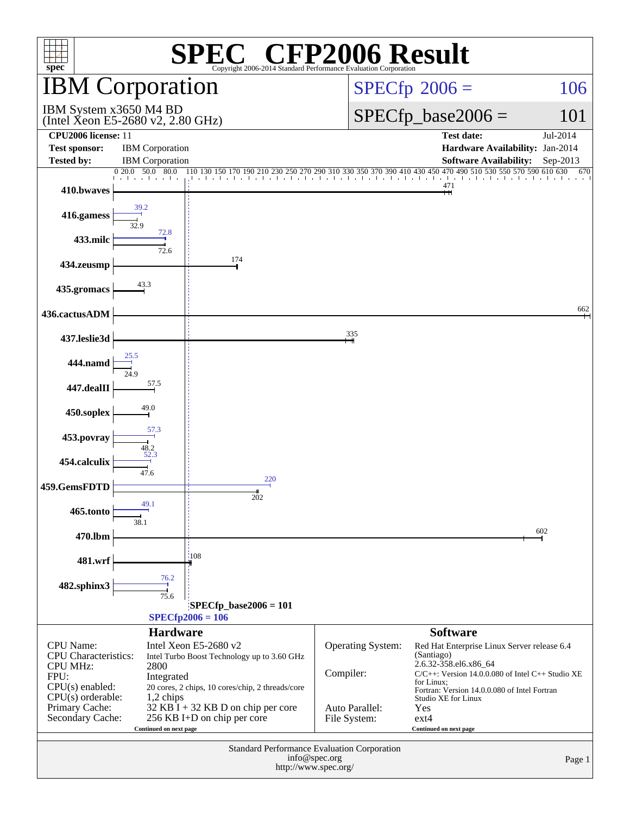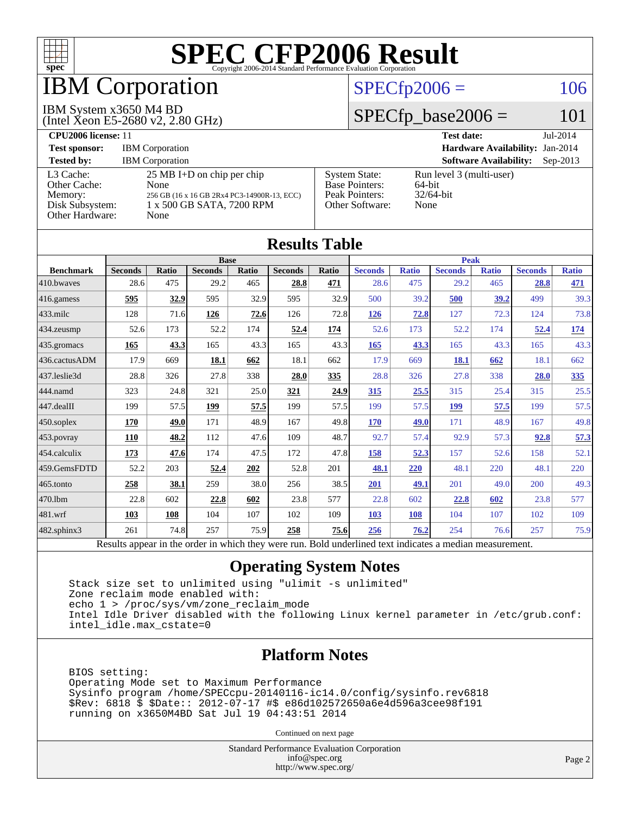

### IBM Corporation

#### IBM System x3650 M4 BD

(Intel Xeon E5-2680 v2, 2.80 GHz)

#### $SPECfp2006 = 106$  $SPECfp2006 = 106$

#### $SPECfp\_base2006 = 101$

| <b>CPU2006 license: 11</b>                                                        |                                                                                                                                  |                                                                                    | <b>Test date:</b><br>$Jul-2014$                            |
|-----------------------------------------------------------------------------------|----------------------------------------------------------------------------------------------------------------------------------|------------------------------------------------------------------------------------|------------------------------------------------------------|
| <b>Test sponsor:</b>                                                              | <b>IBM</b> Corporation                                                                                                           |                                                                                    | Hardware Availability: Jan-2014                            |
| <b>Tested by:</b>                                                                 | <b>IBM</b> Corporation                                                                                                           |                                                                                    | <b>Software Availability:</b><br>$Sep-2013$                |
| L3 Cache:<br>Other Cache:<br>Memory:<br>Disk Subsystem:<br><b>Other Hardware:</b> | $25 \text{ MB I+D}$ on chip per chip<br>None<br>256 GB (16 x 16 GB 2Rx4 PC3-14900R-13, ECC)<br>1 x 500 GB SATA, 7200 RPM<br>None | <b>System State:</b><br><b>Base Pointers:</b><br>Peak Pointers:<br>Other Software: | Run level 3 (multi-user)<br>64-bit<br>$32/64$ -bit<br>None |

**[Results Table](http://www.spec.org/auto/cpu2006/Docs/result-fields.html#ResultsTable)**

| Results Table     |                                                                                                          |              |                |       |                |              |                |              |                |              |                |              |
|-------------------|----------------------------------------------------------------------------------------------------------|--------------|----------------|-------|----------------|--------------|----------------|--------------|----------------|--------------|----------------|--------------|
| <b>Base</b>       |                                                                                                          |              |                |       | <b>Peak</b>    |              |                |              |                |              |                |              |
| <b>Benchmark</b>  | <b>Seconds</b>                                                                                           | <b>Ratio</b> | <b>Seconds</b> | Ratio | <b>Seconds</b> | <b>Ratio</b> | <b>Seconds</b> | <b>Ratio</b> | <b>Seconds</b> | <b>Ratio</b> | <b>Seconds</b> | <b>Ratio</b> |
| 410.bwayes        | 28.6                                                                                                     | 475          | 29.2           | 465   | 28.8           | 471          | 28.6           | 475          | 29.2           | 465          | 28.8           | 471          |
| $416$ .gamess     | 595                                                                                                      | 32.9         | 595            | 32.9  | 595            | 32.9         | 500            | 39.2         | 500            | 39.2         | 499            | 39.3         |
| $433$ .milc       | 128                                                                                                      | 71.6         | 126            | 72.6  | 126            | 72.8         | <b>126</b>     | 72.8         | 127            | 72.3         | 124            | 73.8         |
| $434$ . zeusmp    | 52.6                                                                                                     | 173          | 52.2           | 174   | 52.4           | <u>174</u>   | 52.6           | 173          | 52.2           | 174          | 52.4           | <u>174</u>   |
| 435.gromacs       | 165                                                                                                      | 43.3         | 165            | 43.3  | 165            | 43.3         | 165            | 43.3         | 165            | 43.3         | 165            | 43.3         |
| 436.cactusADM     | 17.9                                                                                                     | 669          | 18.1           | 662   | 18.1           | 662          | 17.9           | 669          | 18.1           | 662          | 18.1           | 662          |
| 437.leslie3d      | 28.8                                                                                                     | 326          | 27.8           | 338   | 28.0           | 335          | 28.8           | 326          | 27.8           | 338          | 28.0           | 335          |
| 444.namd          | 323                                                                                                      | 24.8         | 321            | 25.0  | 321            | 24.9         | 315            | 25.5         | 315            | 25.4         | 315            | 25.5         |
| $447$ .dealII     | 199                                                                                                      | 57.5         | 199            | 57.5  | 199            | 57.5         | 199            | 57.5         | <b>199</b>     | 57.5         | 199            | 57.5         |
| $450$ .soplex     | 170                                                                                                      | 49.0         | 171            | 48.9  | 167            | 49.8         | 170            | 49.0         | 171            | 48.9         | 167            | 49.8         |
| 453.povray        | 110                                                                                                      | 48.2         | 112            | 47.6  | 109            | 48.7         | 92.7           | 57.4         | 92.9           | 57.3         | 92.8           | 57.3         |
| 454.calculix      | 173                                                                                                      | 47.6         | 174            | 47.5  | 172            | 47.8         | 158            | 52.3         | 157            | 52.6         | 158            | 52.1         |
| 459.GemsFDTD      | 52.2                                                                                                     | 203          | 52.4           | 202   | 52.8           | 201          | 48.1           | 220          | 48.1           | 220          | 48.1           | 220          |
| 465.tonto         | 258                                                                                                      | 38.1         | 259            | 38.0  | 256            | 38.5         | 201            | 49.1         | 201            | 49.0         | 200            | 49.3         |
| 470.1bm           | 22.8                                                                                                     | 602          | 22.8           | 602   | 23.8           | 577          | 22.8           | 602          | 22.8           | 602          | 23.8           | 577          |
| 481.wrf           | 103                                                                                                      | 108          | 104            | 107   | 102            | 109          | 103            | 108          | 104            | 107          | 102            | 109          |
| $482$ .sphinx $3$ | 261                                                                                                      | 74.8         | 257            | 75.9  | 258            | 75.6         | 256            | 76.2         | 254            | 76.6         | 257            | 75.9         |
|                   | Results appear in the order in which they were run. Bold underlined text indicates a median measurement. |              |                |       |                |              |                |              |                |              |                |              |

#### **[Operating System Notes](http://www.spec.org/auto/cpu2006/Docs/result-fields.html#OperatingSystemNotes)**

 Stack size set to unlimited using "ulimit -s unlimited" Zone reclaim mode enabled with: echo 1 > /proc/sys/vm/zone\_reclaim\_mode Intel Idle Driver disabled with the following Linux kernel parameter in /etc/grub.conf: intel\_idle.max\_cstate=0

#### **[Platform Notes](http://www.spec.org/auto/cpu2006/Docs/result-fields.html#PlatformNotes)**

 BIOS setting: Operating Mode set to Maximum Performance Sysinfo program /home/SPECcpu-20140116-ic14.0/config/sysinfo.rev6818 \$Rev: 6818 \$ \$Date:: 2012-07-17 #\$ e86d102572650a6e4d596a3cee98f191 running on x3650M4BD Sat Jul 19 04:43:51 2014

Continued on next page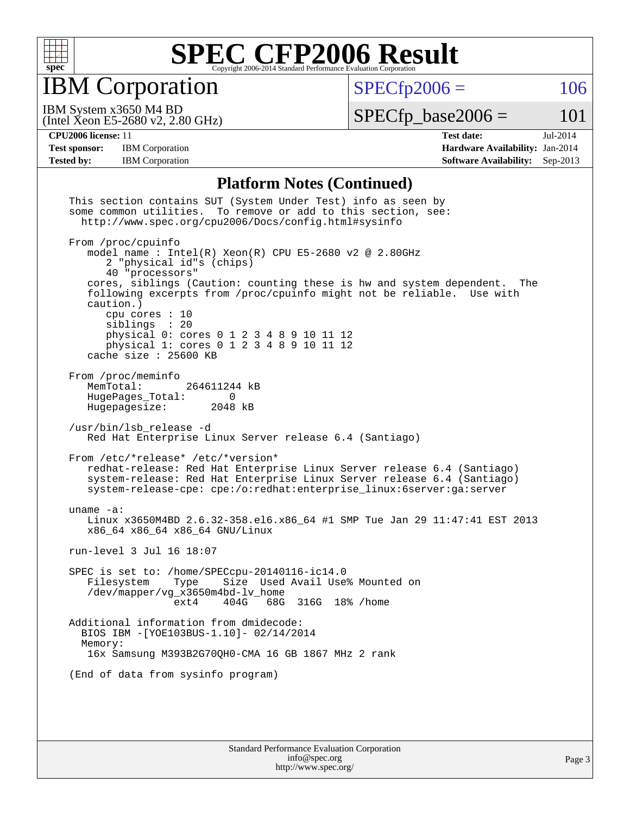

IBM Corporation

 $SPECfp2006 = 106$  $SPECfp2006 = 106$ 

(Intel Xeon E5-2680 v2, 2.80 GHz) IBM System x3650 M4 BD

 $SPECTp\_base2006 = 101$ 

**[CPU2006 license:](http://www.spec.org/auto/cpu2006/Docs/result-fields.html#CPU2006license)** 11 **[Test date:](http://www.spec.org/auto/cpu2006/Docs/result-fields.html#Testdate)** Jul-2014 [Test sponsor:](http://www.spec.org/auto/cpu2006/Docs/result-fields.html#Testsponsor) IBM Corporation **[Hardware Availability:](http://www.spec.org/auto/cpu2006/Docs/result-fields.html#HardwareAvailability)** Jan-2014 **[Tested by:](http://www.spec.org/auto/cpu2006/Docs/result-fields.html#Testedby)** IBM Corporation **[Software Availability:](http://www.spec.org/auto/cpu2006/Docs/result-fields.html#SoftwareAvailability)** Sep-2013

#### **[Platform Notes \(Continued\)](http://www.spec.org/auto/cpu2006/Docs/result-fields.html#PlatformNotes)**

| This section contains SUT (System Under Test) info as seen by<br>some common utilities. To remove or add to this section, see:<br>http://www.spec.org/cpu2006/Docs/config.html#sysinfo                                                                                                                                                                                                                                                                  |
|---------------------------------------------------------------------------------------------------------------------------------------------------------------------------------------------------------------------------------------------------------------------------------------------------------------------------------------------------------------------------------------------------------------------------------------------------------|
| From /proc/cpuinfo<br>model name: $Intel(R)$ Xeon(R) CPU E5-2680 v2 @ 2.80GHz<br>2 "physical id"s (chips)<br>40 "processors"<br>cores, siblings (Caution: counting these is hw and system dependent.<br>The<br>following excerpts from /proc/cpuinfo might not be reliable. Use with<br>caution.)<br>cpu cores $: 10$<br>siblings : 20<br>physical 0: cores 0 1 2 3 4 8 9 10 11 12<br>physical 1: cores 0 1 2 3 4 8 9 10 11 12<br>cache size : 25600 KB |
| From /proc/meminfo<br>MemTotal:<br>264611244 kB<br>HugePages_Total:<br>$\Omega$<br>Hugepagesize: 2048 kB                                                                                                                                                                                                                                                                                                                                                |
| /usr/bin/lsb_release -d<br>Red Hat Enterprise Linux Server release 6.4 (Santiago)                                                                                                                                                                                                                                                                                                                                                                       |
| From /etc/*release* /etc/*version*<br>redhat-release: Red Hat Enterprise Linux Server release 6.4 (Santiago)<br>system-release: Red Hat Enterprise Linux Server release 6.4 (Santiago)<br>system-release-cpe: cpe:/o:redhat:enterprise_linux:6server:ga:server                                                                                                                                                                                          |
| uname $-a$ :<br>Linux x3650M4BD 2.6.32-358.el6.x86_64 #1 SMP Tue Jan 29 11:47:41 EST 2013<br>x86_64 x86_64 x86_64 GNU/Linux                                                                                                                                                                                                                                                                                                                             |
| run-level 3 Jul 16 18:07                                                                                                                                                                                                                                                                                                                                                                                                                                |
| SPEC is set to: /home/SPECcpu-20140116-ic14.0<br>Size Used Avail Use% Mounted on<br>Filesystem<br>Type<br>/dev/mapper/vg_x3650m4bd-lv_home<br>404G 68G 316G 18% / home<br>ext4                                                                                                                                                                                                                                                                          |
| Additional information from dmidecode:<br>BIOS IBM -[YOE103BUS-1.10]- 02/14/2014<br>Memory:<br>16x Samsung M393B2G70QH0-CMA 16 GB 1867 MHz 2 rank                                                                                                                                                                                                                                                                                                       |
| (End of data from sysinfo program)                                                                                                                                                                                                                                                                                                                                                                                                                      |
|                                                                                                                                                                                                                                                                                                                                                                                                                                                         |
| Standard Darfarmange Evaluation Composition                                                                                                                                                                                                                                                                                                                                                                                                             |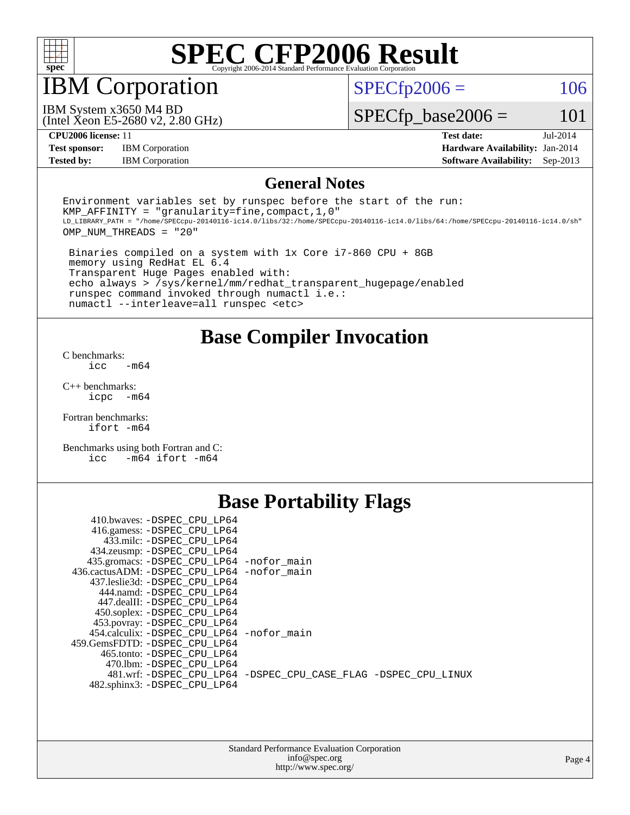

#### IBM Corporation

 $SPECTp2006 = 106$ 

(Intel Xeon E5-2680 v2, 2.80 GHz) IBM System x3650 M4 BD

 $SPECfp\_base2006 = 101$ 

**[Test sponsor:](http://www.spec.org/auto/cpu2006/Docs/result-fields.html#Testsponsor)** IBM Corporation **[Hardware Availability:](http://www.spec.org/auto/cpu2006/Docs/result-fields.html#HardwareAvailability)** Jan-2014

**[CPU2006 license:](http://www.spec.org/auto/cpu2006/Docs/result-fields.html#CPU2006license)** 11 **[Test date:](http://www.spec.org/auto/cpu2006/Docs/result-fields.html#Testdate)** Jul-2014 **[Tested by:](http://www.spec.org/auto/cpu2006/Docs/result-fields.html#Testedby)** IBM Corporation **[Software Availability:](http://www.spec.org/auto/cpu2006/Docs/result-fields.html#SoftwareAvailability)** Sep-2013

#### **[General Notes](http://www.spec.org/auto/cpu2006/Docs/result-fields.html#GeneralNotes)**

Environment variables set by runspec before the start of the run: KMP AFFINITY = "granularity=fine, compact,  $1,0$ " LD\_LIBRARY\_PATH = "/home/SPECcpu-20140116-ic14.0/libs/32:/home/SPECcpu-20140116-ic14.0/libs/64:/home/SPECcpu-20140116-ic14.0/sh" OMP\_NUM\_THREADS = "20"

 Binaries compiled on a system with 1x Core i7-860 CPU + 8GB memory using RedHat EL 6.4 Transparent Huge Pages enabled with: echo always > /sys/kernel/mm/redhat\_transparent\_hugepage/enabled runspec command invoked through numactl i.e.: numactl --interleave=all runspec <etc>

**[Base Compiler Invocation](http://www.spec.org/auto/cpu2006/Docs/result-fields.html#BaseCompilerInvocation)**

[C benchmarks](http://www.spec.org/auto/cpu2006/Docs/result-fields.html#Cbenchmarks):  $\text{icc}$   $-\text{m64}$ 

[C++ benchmarks:](http://www.spec.org/auto/cpu2006/Docs/result-fields.html#CXXbenchmarks) [icpc -m64](http://www.spec.org/cpu2006/results/res2014q3/cpu2006-20140727-30638.flags.html#user_CXXbase_intel_icpc_64bit_bedb90c1146cab66620883ef4f41a67e)

[Fortran benchmarks](http://www.spec.org/auto/cpu2006/Docs/result-fields.html#Fortranbenchmarks): [ifort -m64](http://www.spec.org/cpu2006/results/res2014q3/cpu2006-20140727-30638.flags.html#user_FCbase_intel_ifort_64bit_ee9d0fb25645d0210d97eb0527dcc06e)

[Benchmarks using both Fortran and C](http://www.spec.org/auto/cpu2006/Docs/result-fields.html#BenchmarksusingbothFortranandC): [icc -m64](http://www.spec.org/cpu2006/results/res2014q3/cpu2006-20140727-30638.flags.html#user_CC_FCbase_intel_icc_64bit_0b7121f5ab7cfabee23d88897260401c) [ifort -m64](http://www.spec.org/cpu2006/results/res2014q3/cpu2006-20140727-30638.flags.html#user_CC_FCbase_intel_ifort_64bit_ee9d0fb25645d0210d97eb0527dcc06e)

#### **[Base Portability Flags](http://www.spec.org/auto/cpu2006/Docs/result-fields.html#BasePortabilityFlags)**

| 410.bwaves: -DSPEC CPU LP64                 |                                                                |
|---------------------------------------------|----------------------------------------------------------------|
| 416.gamess: -DSPEC_CPU_LP64                 |                                                                |
| 433.milc: -DSPEC CPU LP64                   |                                                                |
| 434.zeusmp: - DSPEC_CPU_LP64                |                                                                |
| 435.gromacs: -DSPEC_CPU_LP64 -nofor_main    |                                                                |
| 436.cactusADM: -DSPEC CPU LP64 -nofor main  |                                                                |
| 437.leslie3d: -DSPEC CPU LP64               |                                                                |
| 444.namd: -DSPEC CPU LP64                   |                                                                |
| 447.dealII: -DSPEC CPU LP64                 |                                                                |
| 450.soplex: -DSPEC_CPU_LP64                 |                                                                |
| 453.povray: -DSPEC_CPU_LP64                 |                                                                |
| 454.calculix: - DSPEC CPU LP64 - nofor main |                                                                |
| 459.GemsFDTD: - DSPEC_CPU LP64              |                                                                |
| 465.tonto: - DSPEC CPU LP64                 |                                                                |
| 470.1bm: - DSPEC CPU LP64                   |                                                                |
|                                             | 481.wrf: -DSPEC CPU_LP64 -DSPEC_CPU_CASE_FLAG -DSPEC_CPU_LINUX |
| 482.sphinx3: -DSPEC_CPU_LP64                |                                                                |
|                                             |                                                                |

| <b>Standard Performance Evaluation Corporation</b> |
|----------------------------------------------------|
| info@spec.org                                      |
| http://www.spec.org/                               |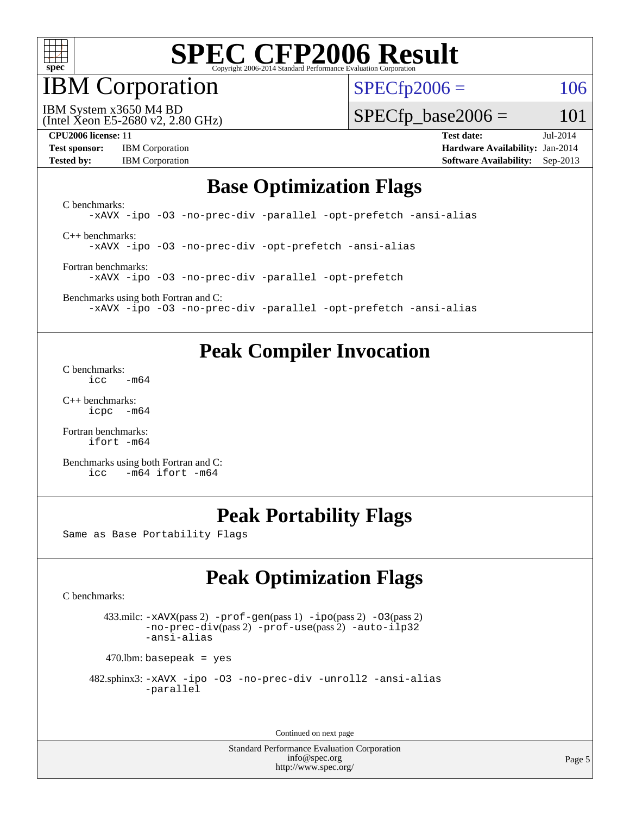

### IBM Corporation

 $SPECfp2006 = 106$  $SPECfp2006 = 106$ 

(Intel Xeon E5-2680 v2, 2.80 GHz) IBM System x3650 M4 BD

 $SPECTp\_base2006 = 101$ 

**[CPU2006 license:](http://www.spec.org/auto/cpu2006/Docs/result-fields.html#CPU2006license)** 11 **[Test date:](http://www.spec.org/auto/cpu2006/Docs/result-fields.html#Testdate)** Jul-2014

| <b>Test sponsor:</b> | <b>IBM</b> Corporation |
|----------------------|------------------------|
| <b>Tested by:</b>    | <b>IBM</b> Corporation |

**[Hardware Availability:](http://www.spec.org/auto/cpu2006/Docs/result-fields.html#HardwareAvailability)** Jan-2014 **[Software Availability:](http://www.spec.org/auto/cpu2006/Docs/result-fields.html#SoftwareAvailability)** Sep-2013

#### **[Base Optimization Flags](http://www.spec.org/auto/cpu2006/Docs/result-fields.html#BaseOptimizationFlags)**

[C benchmarks](http://www.spec.org/auto/cpu2006/Docs/result-fields.html#Cbenchmarks): [-xAVX](http://www.spec.org/cpu2006/results/res2014q3/cpu2006-20140727-30638.flags.html#user_CCbase_f-xAVX) [-ipo](http://www.spec.org/cpu2006/results/res2014q3/cpu2006-20140727-30638.flags.html#user_CCbase_f-ipo) [-O3](http://www.spec.org/cpu2006/results/res2014q3/cpu2006-20140727-30638.flags.html#user_CCbase_f-O3) [-no-prec-div](http://www.spec.org/cpu2006/results/res2014q3/cpu2006-20140727-30638.flags.html#user_CCbase_f-no-prec-div) [-parallel](http://www.spec.org/cpu2006/results/res2014q3/cpu2006-20140727-30638.flags.html#user_CCbase_f-parallel) [-opt-prefetch](http://www.spec.org/cpu2006/results/res2014q3/cpu2006-20140727-30638.flags.html#user_CCbase_f-opt-prefetch) [-ansi-alias](http://www.spec.org/cpu2006/results/res2014q3/cpu2006-20140727-30638.flags.html#user_CCbase_f-ansi-alias) [C++ benchmarks:](http://www.spec.org/auto/cpu2006/Docs/result-fields.html#CXXbenchmarks) [-xAVX](http://www.spec.org/cpu2006/results/res2014q3/cpu2006-20140727-30638.flags.html#user_CXXbase_f-xAVX) [-ipo](http://www.spec.org/cpu2006/results/res2014q3/cpu2006-20140727-30638.flags.html#user_CXXbase_f-ipo) [-O3](http://www.spec.org/cpu2006/results/res2014q3/cpu2006-20140727-30638.flags.html#user_CXXbase_f-O3) [-no-prec-div](http://www.spec.org/cpu2006/results/res2014q3/cpu2006-20140727-30638.flags.html#user_CXXbase_f-no-prec-div) [-opt-prefetch](http://www.spec.org/cpu2006/results/res2014q3/cpu2006-20140727-30638.flags.html#user_CXXbase_f-opt-prefetch) [-ansi-alias](http://www.spec.org/cpu2006/results/res2014q3/cpu2006-20140727-30638.flags.html#user_CXXbase_f-ansi-alias)

[Fortran benchmarks](http://www.spec.org/auto/cpu2006/Docs/result-fields.html#Fortranbenchmarks):

[-xAVX](http://www.spec.org/cpu2006/results/res2014q3/cpu2006-20140727-30638.flags.html#user_FCbase_f-xAVX) [-ipo](http://www.spec.org/cpu2006/results/res2014q3/cpu2006-20140727-30638.flags.html#user_FCbase_f-ipo) [-O3](http://www.spec.org/cpu2006/results/res2014q3/cpu2006-20140727-30638.flags.html#user_FCbase_f-O3) [-no-prec-div](http://www.spec.org/cpu2006/results/res2014q3/cpu2006-20140727-30638.flags.html#user_FCbase_f-no-prec-div) [-parallel](http://www.spec.org/cpu2006/results/res2014q3/cpu2006-20140727-30638.flags.html#user_FCbase_f-parallel) [-opt-prefetch](http://www.spec.org/cpu2006/results/res2014q3/cpu2006-20140727-30638.flags.html#user_FCbase_f-opt-prefetch)

[Benchmarks using both Fortran and C](http://www.spec.org/auto/cpu2006/Docs/result-fields.html#BenchmarksusingbothFortranandC): [-xAVX](http://www.spec.org/cpu2006/results/res2014q3/cpu2006-20140727-30638.flags.html#user_CC_FCbase_f-xAVX) [-ipo](http://www.spec.org/cpu2006/results/res2014q3/cpu2006-20140727-30638.flags.html#user_CC_FCbase_f-ipo) [-O3](http://www.spec.org/cpu2006/results/res2014q3/cpu2006-20140727-30638.flags.html#user_CC_FCbase_f-O3) [-no-prec-div](http://www.spec.org/cpu2006/results/res2014q3/cpu2006-20140727-30638.flags.html#user_CC_FCbase_f-no-prec-div) [-parallel](http://www.spec.org/cpu2006/results/res2014q3/cpu2006-20140727-30638.flags.html#user_CC_FCbase_f-parallel) [-opt-prefetch](http://www.spec.org/cpu2006/results/res2014q3/cpu2006-20140727-30638.flags.html#user_CC_FCbase_f-opt-prefetch) [-ansi-alias](http://www.spec.org/cpu2006/results/res2014q3/cpu2006-20140727-30638.flags.html#user_CC_FCbase_f-ansi-alias)

### **[Peak Compiler Invocation](http://www.spec.org/auto/cpu2006/Docs/result-fields.html#PeakCompilerInvocation)**

[C benchmarks](http://www.spec.org/auto/cpu2006/Docs/result-fields.html#Cbenchmarks):  $\text{icc}$   $-\text{m64}$ 

[C++ benchmarks:](http://www.spec.org/auto/cpu2006/Docs/result-fields.html#CXXbenchmarks) [icpc -m64](http://www.spec.org/cpu2006/results/res2014q3/cpu2006-20140727-30638.flags.html#user_CXXpeak_intel_icpc_64bit_bedb90c1146cab66620883ef4f41a67e)

[Fortran benchmarks](http://www.spec.org/auto/cpu2006/Docs/result-fields.html#Fortranbenchmarks): [ifort -m64](http://www.spec.org/cpu2006/results/res2014q3/cpu2006-20140727-30638.flags.html#user_FCpeak_intel_ifort_64bit_ee9d0fb25645d0210d97eb0527dcc06e)

[Benchmarks using both Fortran and C](http://www.spec.org/auto/cpu2006/Docs/result-fields.html#BenchmarksusingbothFortranandC): [icc -m64](http://www.spec.org/cpu2006/results/res2014q3/cpu2006-20140727-30638.flags.html#user_CC_FCpeak_intel_icc_64bit_0b7121f5ab7cfabee23d88897260401c) [ifort -m64](http://www.spec.org/cpu2006/results/res2014q3/cpu2006-20140727-30638.flags.html#user_CC_FCpeak_intel_ifort_64bit_ee9d0fb25645d0210d97eb0527dcc06e)

### **[Peak Portability Flags](http://www.spec.org/auto/cpu2006/Docs/result-fields.html#PeakPortabilityFlags)**

Same as Base Portability Flags

### **[Peak Optimization Flags](http://www.spec.org/auto/cpu2006/Docs/result-fields.html#PeakOptimizationFlags)**

[C benchmarks](http://www.spec.org/auto/cpu2006/Docs/result-fields.html#Cbenchmarks):

 433.milc: [-xAVX](http://www.spec.org/cpu2006/results/res2014q3/cpu2006-20140727-30638.flags.html#user_peakPASS2_CFLAGSPASS2_LDFLAGS433_milc_f-xAVX)(pass 2) [-prof-gen](http://www.spec.org/cpu2006/results/res2014q3/cpu2006-20140727-30638.flags.html#user_peakPASS1_CFLAGSPASS1_LDFLAGS433_milc_prof_gen_e43856698f6ca7b7e442dfd80e94a8fc)(pass 1) [-ipo](http://www.spec.org/cpu2006/results/res2014q3/cpu2006-20140727-30638.flags.html#user_peakPASS2_CFLAGSPASS2_LDFLAGS433_milc_f-ipo)(pass 2) [-O3](http://www.spec.org/cpu2006/results/res2014q3/cpu2006-20140727-30638.flags.html#user_peakPASS2_CFLAGSPASS2_LDFLAGS433_milc_f-O3)(pass 2) [-no-prec-div](http://www.spec.org/cpu2006/results/res2014q3/cpu2006-20140727-30638.flags.html#user_peakPASS2_CFLAGSPASS2_LDFLAGS433_milc_f-no-prec-div)(pass 2) [-prof-use](http://www.spec.org/cpu2006/results/res2014q3/cpu2006-20140727-30638.flags.html#user_peakPASS2_CFLAGSPASS2_LDFLAGS433_milc_prof_use_bccf7792157ff70d64e32fe3e1250b55)(pass 2) [-auto-ilp32](http://www.spec.org/cpu2006/results/res2014q3/cpu2006-20140727-30638.flags.html#user_peakCOPTIMIZE433_milc_f-auto-ilp32) [-ansi-alias](http://www.spec.org/cpu2006/results/res2014q3/cpu2006-20140727-30638.flags.html#user_peakCOPTIMIZE433_milc_f-ansi-alias)

 $470$ .lbm: basepeak = yes

```
 482.sphinx3: -xAVX -ipo -O3 -no-prec-div -unroll2 -ansi-alias
         -parallel
```
Continued on next page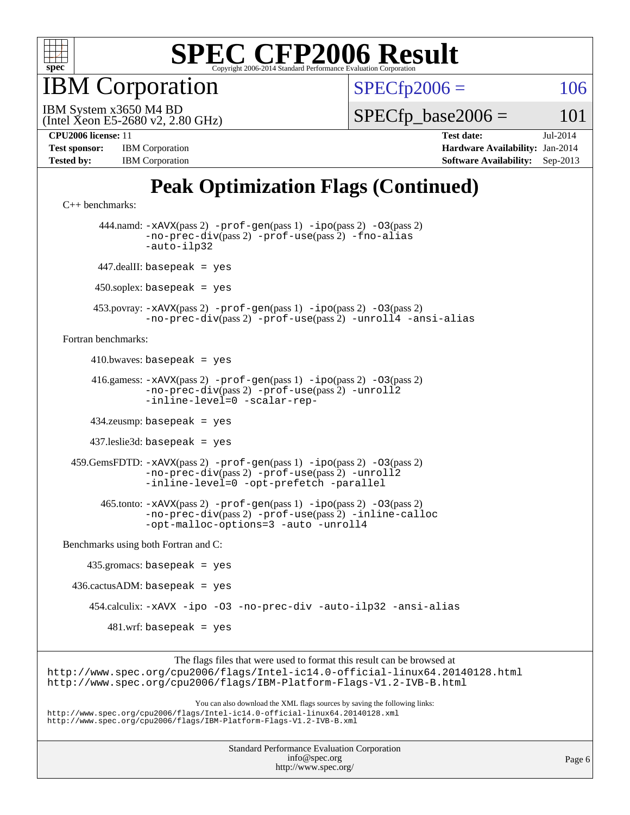

**BM** Corporation

 $SPECfp2006 = 106$  $SPECfp2006 = 106$ 

(Intel Xeon E5-2680 v2, 2.80 GHz) IBM System x3650 M4 BD

 $SPECTp\_base2006 = 101$ 

| <b>Test sponsor:</b> | <b>IBM</b> Corporation |
|----------------------|------------------------|
| <b>Tested by:</b>    | <b>IBM</b> Corporation |

**[CPU2006 license:](http://www.spec.org/auto/cpu2006/Docs/result-fields.html#CPU2006license)** 11 **[Test date:](http://www.spec.org/auto/cpu2006/Docs/result-fields.html#Testdate)** Jul-2014 **[Hardware Availability:](http://www.spec.org/auto/cpu2006/Docs/result-fields.html#HardwareAvailability)** Jan-2014 **[Software Availability:](http://www.spec.org/auto/cpu2006/Docs/result-fields.html#SoftwareAvailability)** Sep-2013

### **[Peak Optimization Flags \(Continued\)](http://www.spec.org/auto/cpu2006/Docs/result-fields.html#PeakOptimizationFlags)**

```
C++ benchmarks: 
        444.namd: -xAVX(pass 2) -prof-gen(pass 1) -ipo(pass 2) -O3(pass 2)
                -no-prec-div(pass 2) -prof-use(pass 2) -fno-alias
                -auto-ilp32
       447.dealII: basepeak = yes
      450.soplex: basepeak = yes
      453.povray: -xAVX(pass 2) -prof-gen(pass 1) -ipo(pass 2) -O3(pass 2)
                -no-prec-div(pass 2) -prof-use(pass 2) -unroll4 -ansi-alias
Fortran benchmarks: 
     410.bwaves: basepeak = yes 416.gamess: -xAVX(pass 2) -prof-gen(pass 1) -ipo(pass 2) -O3(pass 2)
                -no-prec-div(pass 2) -prof-use(pass 2) -unroll2
                -inline-level=0 -scalar-rep-
      434.zeusmp: basepeak = yes
      437.leslie3d: basepeak = yes
  459.GemsFDTD: -xAVX(pass 2) -prof-gen(pass 1) -ipo(pass 2) -O3(pass 2)
                -no-prec-div(pass 2) -prof-use(pass 2) -unroll2
                -inline-level=0 -opt-prefetch -parallel
        465.tonto: -xAVX(pass 2) -prof-gen(pass 1) -ipo(pass 2) -O3(pass 2)
                -no-prec-div(pass 2) -prof-use(pass 2) -inline-calloc
                -opt-malloc-options=3-auto-unroll4
Benchmarks using both Fortran and C: 
     435.gromacs: basepeak = yes
 436.cactusADM: basepeak = yes 454.calculix: -xAVX -ipo -O3 -no-prec-div -auto-ilp32 -ansi-alias
        481.wrf: basepeak = yes
                     The flags files that were used to format this result can be browsed at
```
<http://www.spec.org/cpu2006/flags/Intel-ic14.0-official-linux64.20140128.html> <http://www.spec.org/cpu2006/flags/IBM-Platform-Flags-V1.2-IVB-B.html>

You can also download the XML flags sources by saving the following links: <http://www.spec.org/cpu2006/flags/Intel-ic14.0-official-linux64.20140128.xml> <http://www.spec.org/cpu2006/flags/IBM-Platform-Flags-V1.2-IVB-B.xml>